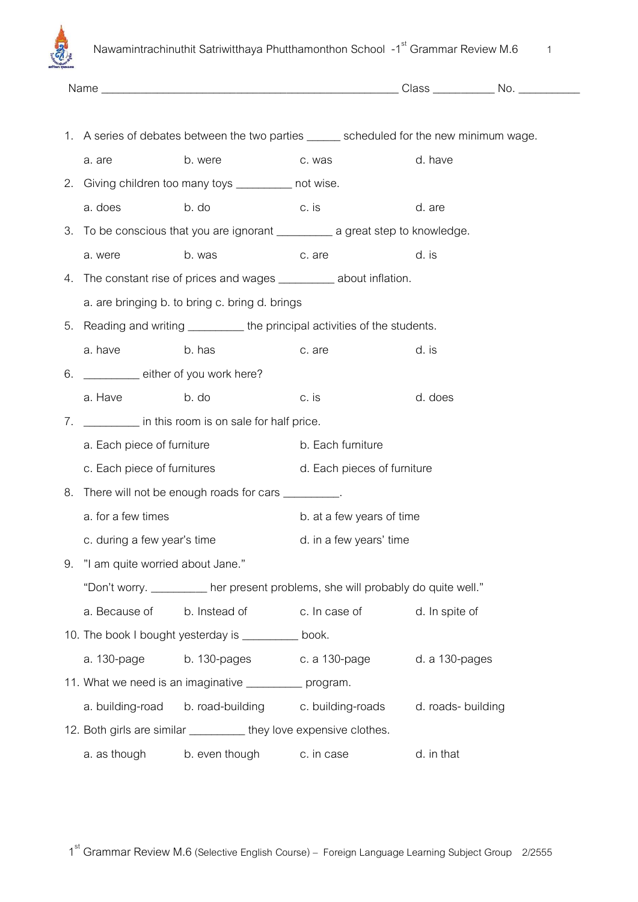

|            | 1. A series of debates between the two parties ______ scheduled for the new minimum wage. |                                                                              |                           |                |  |
|------------|-------------------------------------------------------------------------------------------|------------------------------------------------------------------------------|---------------------------|----------------|--|
|            | a. are                                                                                    | b. were                                                                      | c. was                    | d. have        |  |
|            |                                                                                           | 2. Giving children too many toys _________ not wise.                         |                           |                |  |
|            | a. does                                                                                   | b. do                                                                        | c. is                     | d. are         |  |
|            |                                                                                           |                                                                              |                           |                |  |
|            | a. were                                                                                   | b. was                                                                       | c. are                    | d. is          |  |
| 4.         |                                                                                           | The constant rise of prices and wages __________ about inflation.            |                           |                |  |
|            |                                                                                           | a. are bringing b. to bring c. bring d. brings                               |                           |                |  |
|            |                                                                                           | 5. Reading and writing ___________ the principal activities of the students. |                           |                |  |
|            | a. have                                                                                   | b. has                                                                       | c. are                    | d. is          |  |
|            | 6. _________ either of you work here?                                                     |                                                                              |                           |                |  |
|            | a. Have                                                                                   | b. do                                                                        | c. is                     | d. does        |  |
| $\sqrt{2}$ | in this room is on sale for half price.                                                   |                                                                              |                           |                |  |
|            | a. Each piece of furniture                                                                |                                                                              | b. Each furniture         |                |  |
|            | c. Each piece of furnitures<br>d. Each pieces of furniture                                |                                                                              |                           |                |  |
|            |                                                                                           | 8. There will not be enough roads for cars ________.                         |                           |                |  |
|            | a. for a few times                                                                        |                                                                              | b. at a few years of time |                |  |
|            | c. during a few year's time                                                               |                                                                              | d. in a few years' time   |                |  |
|            | 9. "I am quite worried about Jane."                                                       |                                                                              |                           |                |  |
|            | "Don't worry. _________ her present problems, she will probably do quite well."           |                                                                              |                           |                |  |
|            | a. Because of                                                                             | b. Instead of c. In case of                                                  |                           | d. In spite of |  |
|            |                                                                                           | 10. The book I bought yesterday is _________ book.                           |                           |                |  |
|            |                                                                                           | a. 130-page b. 130-pages c. a 130-page d. a 130-pages                        |                           |                |  |
|            |                                                                                           | 11. What we need is an imaginative ___________ program.                      |                           |                |  |
|            |                                                                                           | a. building-road b. road-building c. building-roads d. roads- building       |                           |                |  |
|            |                                                                                           | 12. Both girls are similar ____________ they love expensive clothes.         |                           |                |  |
|            | a. as though                                                                              | b. even though                                                               | c. in case                | d. in that     |  |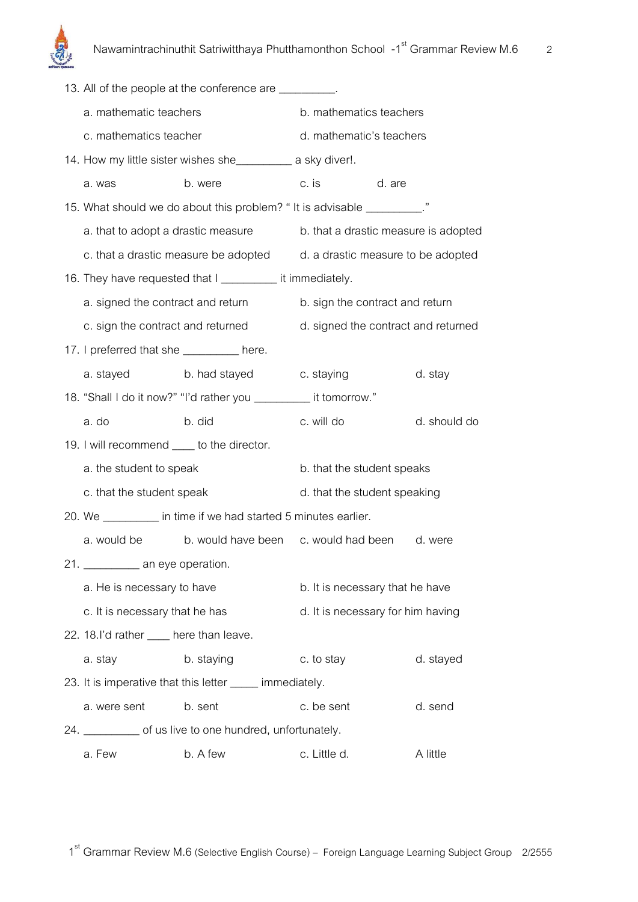

|                                            | 13. All of the people at the conference are _________.                  |                                     |  |              |
|--------------------------------------------|-------------------------------------------------------------------------|-------------------------------------|--|--------------|
| a. mathematic teachers                     |                                                                         | b. mathematics teachers             |  |              |
| c. mathematics teacher                     |                                                                         | d. mathematic's teachers            |  |              |
|                                            | 14. How my little sister wishes she______________ a sky diver!.         |                                     |  |              |
| a. was                                     | b. were                                                                 | c. is d. are                        |  |              |
|                                            | 15. What should we do about this problem? "It is advisable _________."  |                                     |  |              |
|                                            | a. that to adopt a drastic measure b. that a drastic measure is adopted |                                     |  |              |
|                                            | c. that a drastic measure be adopted d. a drastic measure to be adopted |                                     |  |              |
|                                            | 16. They have requested that I ___________ it immediately.              |                                     |  |              |
| a. signed the contract and return          |                                                                         | b. sign the contract and return     |  |              |
|                                            | c. sign the contract and returned                                       | d. signed the contract and returned |  |              |
| 17. I preferred that she _________ here.   |                                                                         |                                     |  |              |
| a. stayed                                  | b. had stayed c. staying                                                |                                     |  | d. stay      |
|                                            | 18. "Shall I do it now?" "I'd rather you ___________ it tomorrow."      |                                     |  |              |
| a. do                                      | b. did                                                                  | c. will do                          |  | d. should do |
| 19. I will recommend ____ to the director. |                                                                         |                                     |  |              |
| a. the student to speak                    |                                                                         | b. that the student speaks          |  |              |
| c. that the student speak                  |                                                                         | d. that the student speaking        |  |              |
|                                            | 20. We ___________ in time if we had started 5 minutes earlier.         |                                     |  |              |
|                                            | a. would be b. would have been c. would had been d. were                |                                     |  |              |
| 21. _____________ an eye operation.        |                                                                         |                                     |  |              |
| a. He is necessary to have                 |                                                                         | b. It is necessary that he have     |  |              |
| c. It is necessary that he has             |                                                                         | d. It is necessary for him having   |  |              |
| 22. 18. I'd rather ____ here than leave.   |                                                                         |                                     |  |              |
| a. stay                                    | b. staying                                                              | c. to stay                          |  | d. stayed    |
|                                            | 23. It is imperative that this letter ____ immediately.                 |                                     |  |              |
| a. were sent                               | b. sent                                                                 | c. be sent                          |  | d. send      |
|                                            | 24. ____________ of us live to one hundred, unfortunately.              |                                     |  |              |
| a. Few                                     | b. A few                                                                | c. Little d.                        |  | A little     |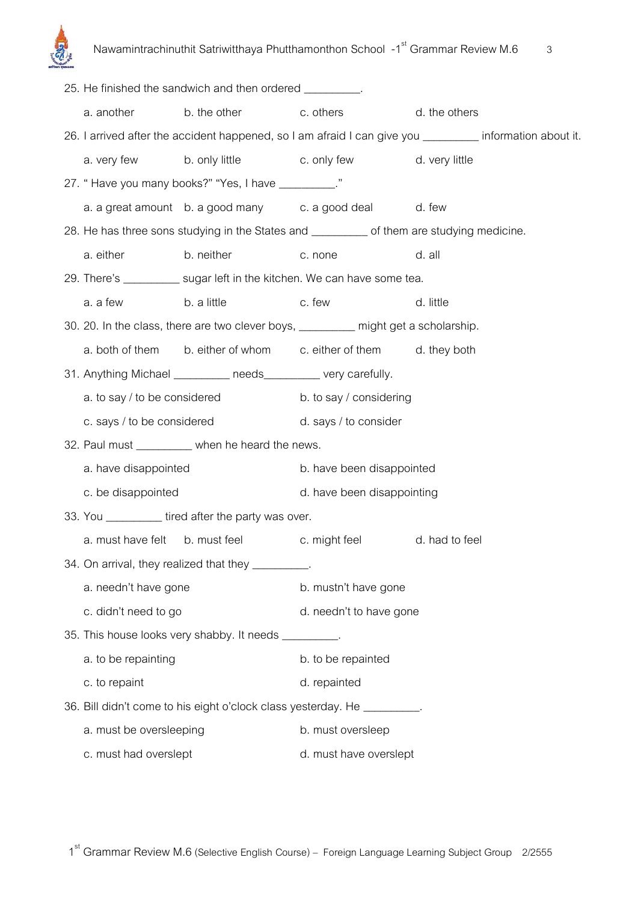

|                                                 |                                                                          | 25. He finished the sandwich and then ordered _________.       |                                                                                    |                                                                                                        |  |
|-------------------------------------------------|--------------------------------------------------------------------------|----------------------------------------------------------------|------------------------------------------------------------------------------------|--------------------------------------------------------------------------------------------------------|--|
|                                                 |                                                                          | a. another b. the other c. others                              |                                                                                    | d. the others                                                                                          |  |
|                                                 |                                                                          |                                                                |                                                                                    | 26. I arrived after the accident happened, so I am afraid I can give you _______ information about it. |  |
|                                                 |                                                                          |                                                                | a. very few b. only little c. only few d. very little                              |                                                                                                        |  |
|                                                 |                                                                          | 27. "Have you many books?" "Yes, I have _________."            |                                                                                    |                                                                                                        |  |
|                                                 |                                                                          |                                                                | a. a great amount b. a good many c. a good deal d. few                             |                                                                                                        |  |
|                                                 |                                                                          |                                                                |                                                                                    | 28. He has three sons studying in the States and ___________ of them are studying medicine.            |  |
|                                                 | a. either                                                                | b. neither                                                     | c. none                                                                            | d. all                                                                                                 |  |
|                                                 |                                                                          |                                                                | 29. There's ____________ sugar left in the kitchen. We can have some tea.          |                                                                                                        |  |
|                                                 | a. a few                                                                 | b. a little c. few                                             |                                                                                    | d. little                                                                                              |  |
|                                                 |                                                                          |                                                                | 30. 20. In the class, there are two clever boys, ________ might get a scholarship. |                                                                                                        |  |
|                                                 |                                                                          |                                                                | a. both of them b. either of whom c. either of them d. they both                   |                                                                                                        |  |
|                                                 |                                                                          | 31. Anything Michael __________ needs_________ very carefully. |                                                                                    |                                                                                                        |  |
|                                                 |                                                                          | a. to say / to be considered                                   | b. to say / considering                                                            |                                                                                                        |  |
|                                                 |                                                                          | c. says / to be considered d. says / to consider               |                                                                                    |                                                                                                        |  |
| 32. Paul must _________ when he heard the news. |                                                                          |                                                                |                                                                                    |                                                                                                        |  |
|                                                 | a. have disappointed                                                     |                                                                | b. have been disappointed                                                          |                                                                                                        |  |
|                                                 | c. be disappointed                                                       |                                                                | d. have been disappointing                                                         |                                                                                                        |  |
|                                                 |                                                                          | 33. You ___________ tired after the party was over.            |                                                                                    |                                                                                                        |  |
|                                                 |                                                                          |                                                                | a. must have felt b. must feel c. might feel d. had to feel                        |                                                                                                        |  |
|                                                 |                                                                          | 34. On arrival, they realized that they _________.             |                                                                                    |                                                                                                        |  |
|                                                 | a. needn't have gone                                                     |                                                                | b. mustn't have gone                                                               |                                                                                                        |  |
|                                                 | c. didn't need to go                                                     |                                                                | d. needn't to have gone                                                            |                                                                                                        |  |
|                                                 |                                                                          | 35. This house looks very shabby. It needs ________.           |                                                                                    |                                                                                                        |  |
|                                                 | a. to be repainting                                                      |                                                                | b. to be repainted                                                                 |                                                                                                        |  |
|                                                 | c. to repaint                                                            |                                                                | d. repainted                                                                       |                                                                                                        |  |
|                                                 | 36. Bill didn't come to his eight o'clock class yesterday. He _________. |                                                                |                                                                                    |                                                                                                        |  |
|                                                 | a. must be oversleeping                                                  |                                                                | b. must oversleep                                                                  |                                                                                                        |  |
|                                                 | c. must had overslept                                                    |                                                                | d. must have overslept                                                             |                                                                                                        |  |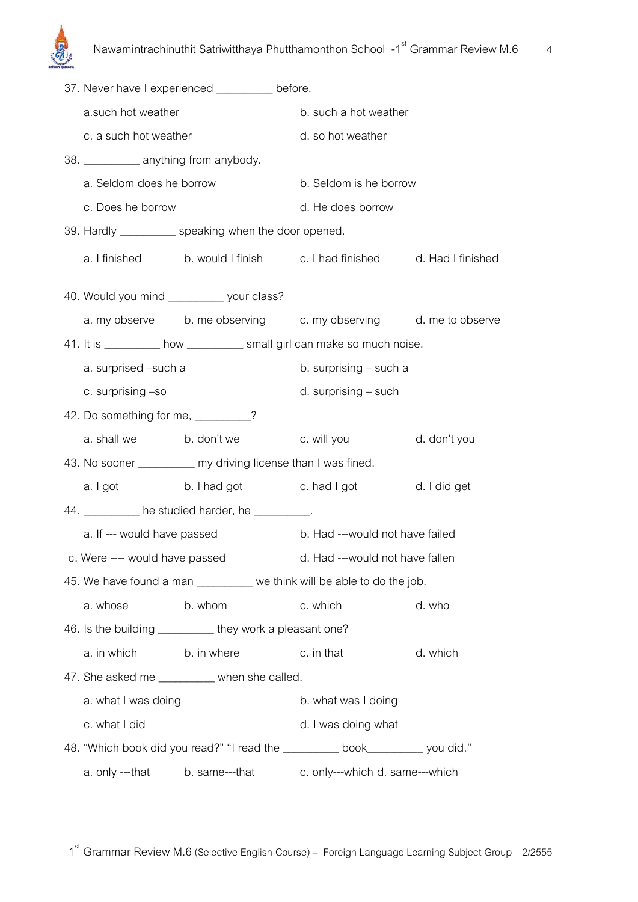|                                                               |                                         | 37. Never have I experienced _________ before.           |                                                                             |              |
|---------------------------------------------------------------|-----------------------------------------|----------------------------------------------------------|-----------------------------------------------------------------------------|--------------|
|                                                               | a.such hot weather                      |                                                          | b. such a hot weather                                                       |              |
|                                                               | c. a such hot weather                   |                                                          | d. so hot weather                                                           |              |
|                                                               | 38. ____________ anything from anybody. |                                                          |                                                                             |              |
|                                                               | a. Seldom does he borrow                |                                                          | b. Seldom is he borrow                                                      |              |
|                                                               | c. Does he borrow                       |                                                          | d. He does borrow                                                           |              |
|                                                               |                                         | 39. Hardly ___________ speaking when the door opened.    |                                                                             |              |
|                                                               |                                         |                                                          | a. I finished b. would I finish c. I had finished d. Had I finished         |              |
|                                                               |                                         | 40. Would you mind ____________ your class?              |                                                                             |              |
|                                                               |                                         |                                                          | a. my observe b. me observing c. my observing d. me to observe              |              |
|                                                               |                                         |                                                          | 41. It is __________ how ___________ small girl can make so much noise.     |              |
|                                                               | a. surprised -such a                    |                                                          | b. surprising - such a                                                      |              |
|                                                               | c. surprising -so                       |                                                          | d. surprising – such                                                        |              |
|                                                               | 42. Do something for me, _________?     |                                                          |                                                                             |              |
|                                                               | a. shall we b. don't we                 |                                                          | c. will you                                                                 | d. don't you |
| 43. No sooner __________ my driving license than I was fined. |                                         |                                                          |                                                                             |              |
|                                                               |                                         |                                                          | a. I got b. I had got c. had I got d. I did get                             |              |
|                                                               |                                         | 44. __________ he studied harder, he __________.         |                                                                             |              |
|                                                               | a. If --- would have passed             |                                                          | b. Had ---would not have failed                                             |              |
|                                                               | c. Were ---- would have passed          |                                                          | d. Had ---would not have fallen                                             |              |
|                                                               |                                         |                                                          | 45. We have found a man _________ we think will be able to do the job.      |              |
|                                                               | a. whose                                | b. whom                                                  | c. which                                                                    | d. who       |
|                                                               |                                         | 46. Is the building __________ they work a pleasant one? |                                                                             |              |
|                                                               |                                         | a. in which b. in where c. in that                       |                                                                             | d. which     |
|                                                               |                                         | 47. She asked me _________ when she called.              |                                                                             |              |
|                                                               | a. what I was doing                     |                                                          | b. what was I doing                                                         |              |
|                                                               | c. what I did                           |                                                          | d. I was doing what                                                         |              |
|                                                               |                                         |                                                          | 48. "Which book did you read?" "I read the _________ book________ you did." |              |
|                                                               |                                         |                                                          | a. only ---that b. same---that c. only---which d. same---which              |              |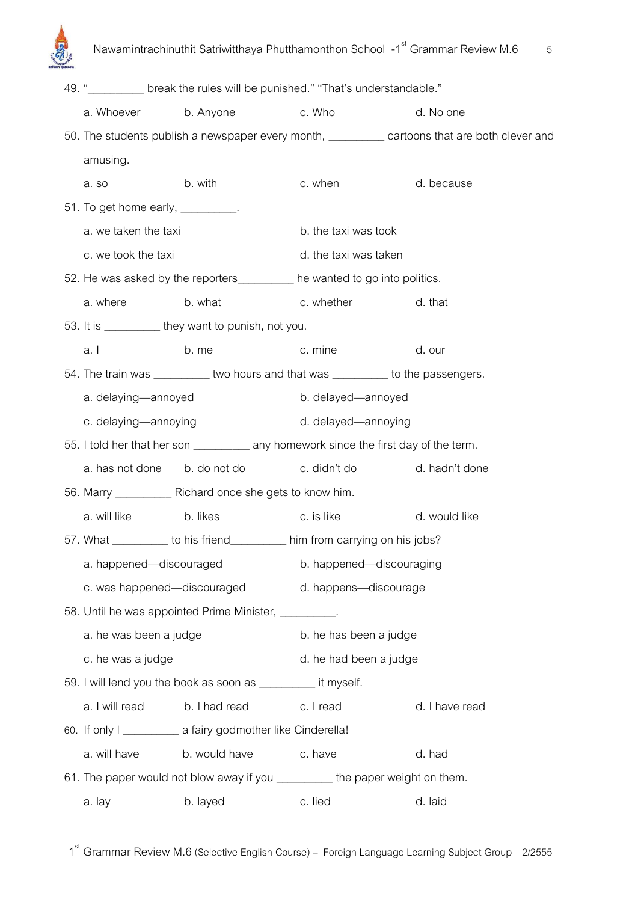

|                                                                                          |                                                                 | 49. " stream break the rules will be punished." "That's understandable."         |                                                                                                |  |
|------------------------------------------------------------------------------------------|-----------------------------------------------------------------|----------------------------------------------------------------------------------|------------------------------------------------------------------------------------------------|--|
| a. Whoever b. Anyone                                                                     |                                                                 | c. Who                                                                           | d. No one                                                                                      |  |
|                                                                                          |                                                                 |                                                                                  | 50. The students publish a newspaper every month, __________ cartoons that are both clever and |  |
| amusing.                                                                                 |                                                                 |                                                                                  |                                                                                                |  |
| a.so                                                                                     | b. with                                                         | c. when                                                                          | d. because                                                                                     |  |
| 51. To get home early, __________.                                                       |                                                                 |                                                                                  |                                                                                                |  |
| a. we taken the taxi                                                                     |                                                                 | b. the taxi was took                                                             |                                                                                                |  |
| c. we took the taxi                                                                      |                                                                 | d. the taxi was taken                                                            |                                                                                                |  |
|                                                                                          |                                                                 | 52. He was asked by the reporters ________ he wanted to go into politics.        |                                                                                                |  |
| a. where                                                                                 | b. what                                                         | c. whether                                                                       | d. that                                                                                        |  |
|                                                                                          | 53. It is ___________ they want to punish, not you.             |                                                                                  |                                                                                                |  |
| a.l                                                                                      | b. me                                                           | c. mine                                                                          | d. our                                                                                         |  |
|                                                                                          |                                                                 | 54. The train was __________ two hours and that was _________ to the passengers. |                                                                                                |  |
| a. delaying-annoyed                                                                      |                                                                 | b. delayed-annoyed                                                               |                                                                                                |  |
| c. delaying-annoying                                                                     |                                                                 | d. delayed-annoying                                                              |                                                                                                |  |
| 55. I told her that her son ______________ any homework since the first day of the term. |                                                                 |                                                                                  |                                                                                                |  |
|                                                                                          | a. has not done b. do not do                                    | c. didn't do                                                                     | d. hadn't done                                                                                 |  |
|                                                                                          | 56. Marry _____________ Richard once she gets to know him.      |                                                                                  |                                                                                                |  |
| a. will like                                                                             | b. likes                                                        | c. is like                                                                       | d. would like                                                                                  |  |
|                                                                                          |                                                                 | 57. What __________ to his friend__________ him from carrying on his jobs?       |                                                                                                |  |
| a. happened-discouraged                                                                  |                                                                 | b. happened-discouraging<br>c. was happened—discouraged d. happens—discourage    |                                                                                                |  |
|                                                                                          |                                                                 |                                                                                  |                                                                                                |  |
|                                                                                          | 58. Until he was appointed Prime Minister, _________.           |                                                                                  |                                                                                                |  |
| a. he was been a judge                                                                   |                                                                 | b. he has been a judge                                                           |                                                                                                |  |
| c. he was a judge                                                                        |                                                                 | d. he had been a judge                                                           |                                                                                                |  |
|                                                                                          | 59. I will lend you the book as soon as ____________ it myself. |                                                                                  |                                                                                                |  |
|                                                                                          | a. I will read b. I had read c. I read                          |                                                                                  | d. I have read                                                                                 |  |
|                                                                                          | 60. If only I ______________ a fairy godmother like Cinderella! |                                                                                  |                                                                                                |  |
| a. will have                                                                             | b. would have                                                   | c. have                                                                          | d. had                                                                                         |  |
| 61. The paper would not blow away if you _________ the paper weight on them.             |                                                                 |                                                                                  |                                                                                                |  |
| a. lay                                                                                   | b. layed                                                        | c. lied                                                                          | d. laid                                                                                        |  |